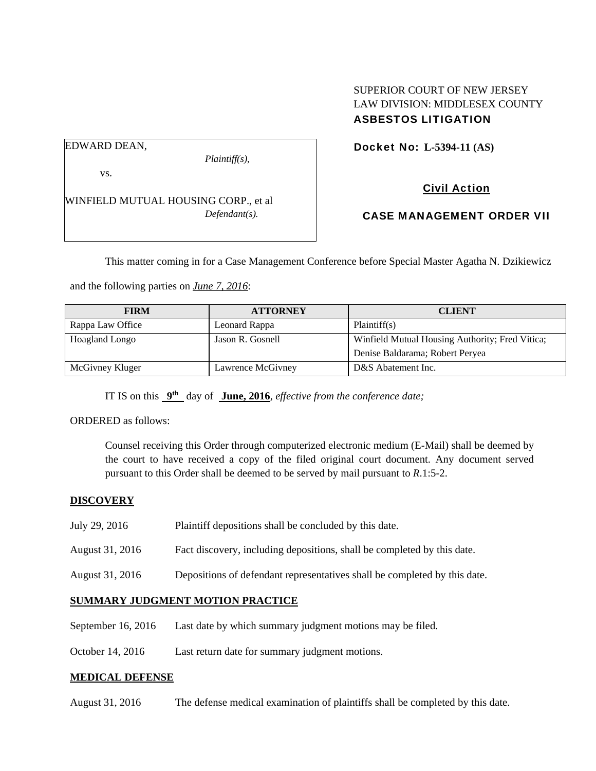# SUPERIOR COURT OF NEW JERSEY LAW DIVISION: MIDDLESEX COUNTY ASBESTOS LITIGATION

Docket No: **L-5394-11 (AS)** 

EDWARD DEAN,

vs.

*Plaintiff(s),* 

Civil Action

WINFIELD MUTUAL HOUSING CORP., et al *Defendant(s).* 

CASE MANAGEMENT ORDER VII

This matter coming in for a Case Management Conference before Special Master Agatha N. Dzikiewicz

and the following parties on *June 7, 2016*:

| <b>FIRM</b>      | <b>ATTORNEY</b>   | <b>CLIENT</b>                                   |
|------------------|-------------------|-------------------------------------------------|
| Rappa Law Office | Leonard Rappa     | Plaintiff(s)                                    |
| Hoagland Longo   | Jason R. Gosnell  | Winfield Mutual Housing Authority; Fred Vitica; |
|                  |                   | Denise Baldarama; Robert Peryea                 |
| McGivney Kluger  | Lawrence McGivney | D&S Abatement Inc.                              |

IT IS on this **9th** day of **June, 2016**, *effective from the conference date;*

ORDERED as follows:

Counsel receiving this Order through computerized electronic medium (E-Mail) shall be deemed by the court to have received a copy of the filed original court document. Any document served pursuant to this Order shall be deemed to be served by mail pursuant to *R*.1:5-2.

# **DISCOVERY**

- July 29, 2016 Plaintiff depositions shall be concluded by this date.
- August 31, 2016 Fact discovery, including depositions, shall be completed by this date.
- August 31, 2016 Depositions of defendant representatives shall be completed by this date.

#### **SUMMARY JUDGMENT MOTION PRACTICE**

- September 16, 2016 Last date by which summary judgment motions may be filed.
- October 14, 2016 Last return date for summary judgment motions.

#### **MEDICAL DEFENSE**

August 31, 2016 The defense medical examination of plaintiffs shall be completed by this date.